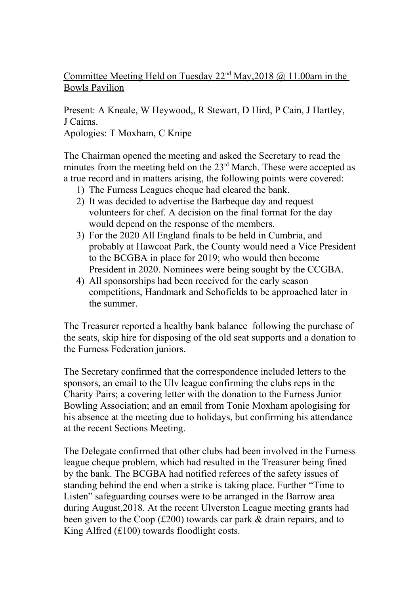Committee Meeting Held on Tuesday  $22<sup>nd</sup>$  May,  $2018$  @ 11.00am in the Bowls Pavilion

Present: A Kneale, W Heywood,, R Stewart, D Hird, P Cain, J Hartley, J Cairns. Apologies: T Moxham, C Knipe

The Chairman opened the meeting and asked the Secretary to read the minutes from the meeting held on the 23<sup>rd</sup> March. These were accepted as a true record and in matters arising, the following points were covered:

- 1) The Furness Leagues cheque had cleared the bank.
- 2) It was decided to advertise the Barbeque day and request volunteers for chef. A decision on the final format for the day would depend on the response of the members.
- 3) For the 2020 All England finals to be held in Cumbria, and probably at Hawcoat Park, the County would need a Vice President to the BCGBA in place for 2019; who would then become President in 2020. Nominees were being sought by the CCGBA.
- 4) All sponsorships had been received for the early season competitions, Handmark and Schofields to be approached later in the summer.

The Treasurer reported a healthy bank balance following the purchase of the seats, skip hire for disposing of the old seat supports and a donation to the Furness Federation juniors.

The Secretary confirmed that the correspondence included letters to the sponsors, an email to the Ulv league confirming the clubs reps in the Charity Pairs; a covering letter with the donation to the Furness Junior Bowling Association; and an email from Tonie Moxham apologising for his absence at the meeting due to holidays, but confirming his attendance at the recent Sections Meeting.

The Delegate confirmed that other clubs had been involved in the Furness league cheque problem, which had resulted in the Treasurer being fined by the bank. The BCGBA had notified referees of the safety issues of standing behind the end when a strike is taking place. Further "Time to Listen" safeguarding courses were to be arranged in the Barrow area during August,2018. At the recent Ulverston League meeting grants had been given to the Coop (£200) towards car park & drain repairs, and to King Alfred (£100) towards floodlight costs.